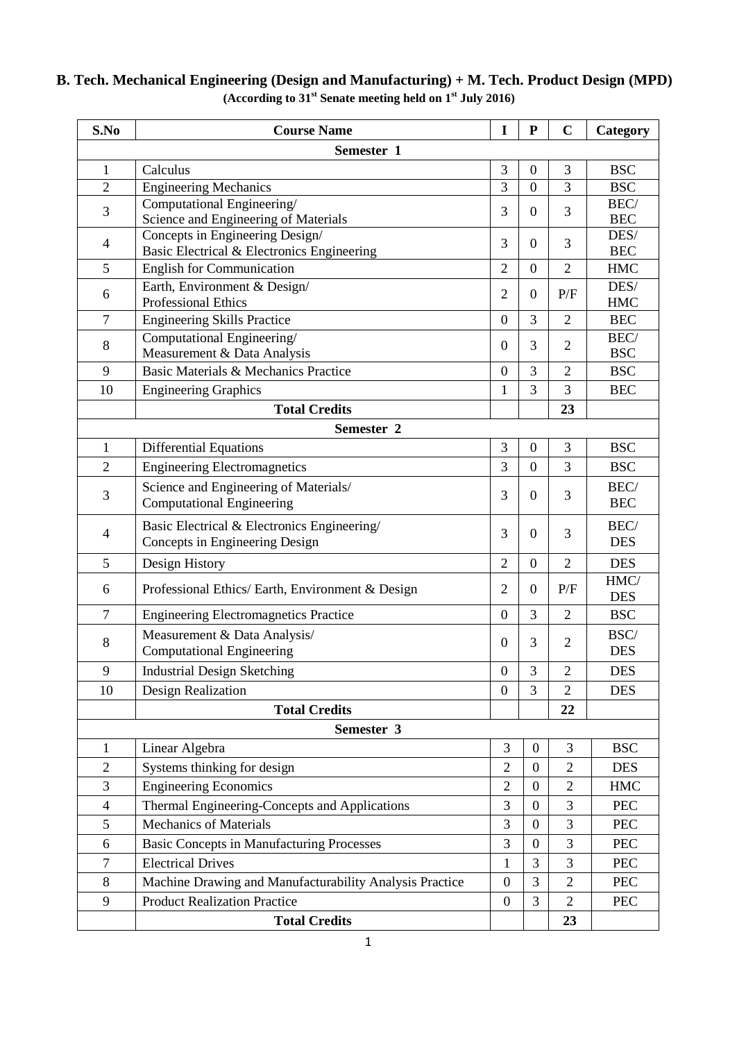| S.No           | <b>Course Name</b>                                                            | I                | ${\bf P}$        | $\mathbf C$    | Category           |  |  |
|----------------|-------------------------------------------------------------------------------|------------------|------------------|----------------|--------------------|--|--|
| Semester 1     |                                                                               |                  |                  |                |                    |  |  |
| $\mathbf{1}$   | Calculus                                                                      | 3                | $\boldsymbol{0}$ | 3              | <b>BSC</b>         |  |  |
| $\overline{2}$ | <b>Engineering Mechanics</b>                                                  | 3                | $\boldsymbol{0}$ | 3              | <b>BSC</b>         |  |  |
| 3              | Computational Engineering/<br>Science and Engineering of Materials            | 3                | $\overline{0}$   | 3              | BEC/<br><b>BEC</b> |  |  |
| $\overline{4}$ | Concepts in Engineering Design/<br>Basic Electrical & Electronics Engineering | 3                | $\overline{0}$   | 3              | DES/<br><b>BEC</b> |  |  |
| 5              | <b>English for Communication</b>                                              | $\overline{2}$   | $\boldsymbol{0}$ | $\overline{2}$ | <b>HMC</b>         |  |  |
| 6              | Earth, Environment & Design/<br><b>Professional Ethics</b>                    | $\overline{2}$   | $\boldsymbol{0}$ | P/F            | DES/<br><b>HMC</b> |  |  |
| $\overline{7}$ | <b>Engineering Skills Practice</b>                                            | $\overline{0}$   | 3                | $\overline{2}$ | <b>BEC</b>         |  |  |
| 8              | Computational Engineering/<br>Measurement & Data Analysis                     | $\theta$         | 3                | $\overline{2}$ | BEC/<br><b>BSC</b> |  |  |
| 9              | Basic Materials & Mechanics Practice                                          | $\boldsymbol{0}$ | 3                | $\overline{2}$ | <b>BSC</b>         |  |  |
| 10             | <b>Engineering Graphics</b>                                                   | 1                | 3                | 3              | <b>BEC</b>         |  |  |
|                | <b>Total Credits</b>                                                          |                  |                  | 23             |                    |  |  |
|                | Semester 2                                                                    |                  |                  |                |                    |  |  |
| $\mathbf{1}$   | <b>Differential Equations</b>                                                 | 3                | $\boldsymbol{0}$ | 3              | <b>BSC</b>         |  |  |
| $\overline{2}$ | <b>Engineering Electromagnetics</b>                                           | 3                | $\overline{0}$   | 3              | <b>BSC</b>         |  |  |
| 3              | Science and Engineering of Materials/<br><b>Computational Engineering</b>     | 3                | $\overline{0}$   | 3              | BEC/<br><b>BEC</b> |  |  |
| $\overline{4}$ | Basic Electrical & Electronics Engineering/<br>Concepts in Engineering Design | 3                | $\overline{0}$   | 3              | BEC/<br><b>DES</b> |  |  |
| 5              | Design History                                                                | $\overline{2}$   | $\boldsymbol{0}$ | $\overline{2}$ | <b>DES</b>         |  |  |
| 6              | Professional Ethics/ Earth, Environment & Design                              | $\overline{2}$   | $\boldsymbol{0}$ | P/F            | HMC/<br><b>DES</b> |  |  |
| $\tau$         | <b>Engineering Electromagnetics Practice</b>                                  | $\overline{0}$   | 3                | $\overline{2}$ | <b>BSC</b>         |  |  |
| 8              | Measurement & Data Analysis/<br><b>Computational Engineering</b>              | $\theta$         | 3                | $\overline{2}$ | BSC/<br><b>DES</b> |  |  |
| 9              | <b>Industrial Design Sketching</b>                                            | $\boldsymbol{0}$ | 3                | $\overline{c}$ | <b>DES</b>         |  |  |
| 10             | Design Realization                                                            | $\overline{0}$   | 3                | $\mathbf{2}$   | <b>DES</b>         |  |  |
|                | <b>Total Credits</b>                                                          |                  |                  | 22             |                    |  |  |
| Semester 3     |                                                                               |                  |                  |                |                    |  |  |
| $\mathbf{1}$   | Linear Algebra                                                                | 3                | $\boldsymbol{0}$ | 3              | <b>BSC</b>         |  |  |
| $\overline{2}$ | Systems thinking for design                                                   | $\overline{2}$   | $\overline{0}$   | $\overline{2}$ | <b>DES</b>         |  |  |
| $\mathfrak{Z}$ | <b>Engineering Economics</b>                                                  | 2                | $\mathbf{0}$     | $\mathbf{2}$   | <b>HMC</b>         |  |  |
| $\overline{4}$ | Thermal Engineering-Concepts and Applications                                 | 3                | $\boldsymbol{0}$ | 3              | <b>PEC</b>         |  |  |
| $\mathfrak s$  | <b>Mechanics of Materials</b>                                                 | 3                | $\boldsymbol{0}$ | 3              | <b>PEC</b>         |  |  |
| 6              | <b>Basic Concepts in Manufacturing Processes</b>                              | 3                | $\boldsymbol{0}$ | 3              | <b>PEC</b>         |  |  |
| $\tau$         | <b>Electrical Drives</b>                                                      | $\mathbf{1}$     | 3                | 3              | <b>PEC</b>         |  |  |
| $\,8\,$        | Machine Drawing and Manufacturability Analysis Practice                       | $\mathbf{0}$     | 3                | $\overline{2}$ | <b>PEC</b>         |  |  |
| 9              | <b>Product Realization Practice</b>                                           | $\boldsymbol{0}$ | 3                | $\overline{2}$ | <b>PEC</b>         |  |  |
|                | <b>Total Credits</b>                                                          |                  |                  | 23             |                    |  |  |

## **B. Tech. Mechanical Engineering (Design and Manufacturing) + M. Tech. Product Design (MPD) (According to 31st Senate meeting held on 1st July 2016)**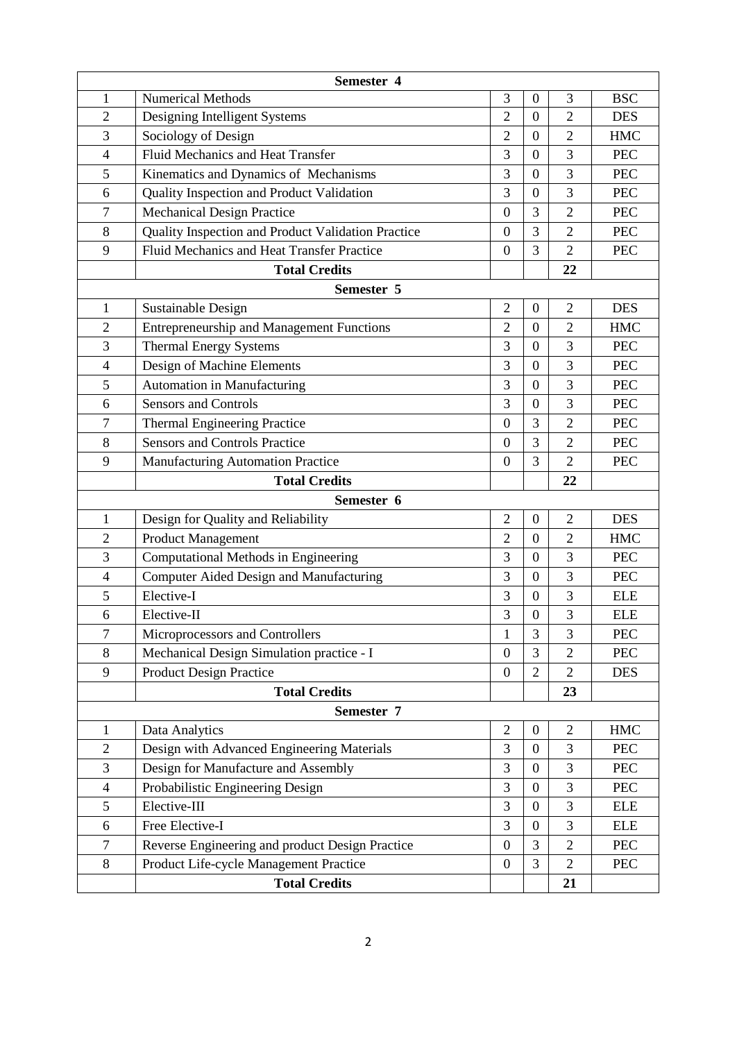| Semester 4     |                                                    |                  |                  |                |            |  |  |
|----------------|----------------------------------------------------|------------------|------------------|----------------|------------|--|--|
| 1              | <b>Numerical Methods</b>                           | 3                | $\overline{0}$   | 3              | <b>BSC</b> |  |  |
| $\overline{2}$ | Designing Intelligent Systems                      | $\overline{2}$   | $\boldsymbol{0}$ | $\overline{2}$ | <b>DES</b> |  |  |
| 3              | Sociology of Design                                | $\overline{2}$   | $\overline{0}$   | $\overline{2}$ | <b>HMC</b> |  |  |
| $\overline{4}$ | <b>Fluid Mechanics and Heat Transfer</b>           | 3                | $\overline{0}$   | 3              | <b>PEC</b> |  |  |
| 5              | Kinematics and Dynamics of Mechanisms              | 3                | $\theta$         | 3              | <b>PEC</b> |  |  |
| 6              | Quality Inspection and Product Validation          | 3                | $\boldsymbol{0}$ | 3              | <b>PEC</b> |  |  |
| $\tau$         | <b>Mechanical Design Practice</b>                  | $\overline{0}$   | 3                | $\overline{2}$ | <b>PEC</b> |  |  |
| 8              | Quality Inspection and Product Validation Practice | $\overline{0}$   | 3                | $\overline{2}$ | <b>PEC</b> |  |  |
| 9              | Fluid Mechanics and Heat Transfer Practice         | $\overline{0}$   | 3                | $\overline{2}$ | <b>PEC</b> |  |  |
|                | <b>Total Credits</b>                               |                  |                  | 22             |            |  |  |
|                | Semester 5                                         |                  |                  |                |            |  |  |
| $\mathbf{1}$   | Sustainable Design                                 | $\overline{2}$   | $\boldsymbol{0}$ | $\overline{2}$ | <b>DES</b> |  |  |
| $\overline{c}$ | <b>Entrepreneurship and Management Functions</b>   | $\overline{2}$   | $\overline{0}$   | $\overline{2}$ | <b>HMC</b> |  |  |
| 3              | <b>Thermal Energy Systems</b>                      | 3                | $\overline{0}$   | 3              | <b>PEC</b> |  |  |
| $\overline{4}$ | Design of Machine Elements                         | 3                | $\overline{0}$   | 3              | <b>PEC</b> |  |  |
| 5              | <b>Automation in Manufacturing</b>                 | 3                | $\overline{0}$   | 3              | <b>PEC</b> |  |  |
| 6              | <b>Sensors and Controls</b>                        | 3                | $\overline{0}$   | 3              | <b>PEC</b> |  |  |
| $\tau$         | <b>Thermal Engineering Practice</b>                | $\overline{0}$   | 3                | $\overline{2}$ | <b>PEC</b> |  |  |
| 8              | <b>Sensors and Controls Practice</b>               | $\boldsymbol{0}$ | 3                | $\overline{2}$ | <b>PEC</b> |  |  |
| 9              | <b>Manufacturing Automation Practice</b>           | $\overline{0}$   | 3                | $\overline{2}$ | <b>PEC</b> |  |  |
|                | <b>Total Credits</b>                               |                  |                  | 22             |            |  |  |
| Semester 6     |                                                    |                  |                  |                |            |  |  |
| $\mathbf{1}$   | Design for Quality and Reliability                 | $\overline{2}$   | $\mathbf{0}$     | $\overline{2}$ | <b>DES</b> |  |  |
| $\overline{2}$ | <b>Product Management</b>                          | $\overline{2}$   | $\boldsymbol{0}$ | $\overline{2}$ | <b>HMC</b> |  |  |
| 3              | Computational Methods in Engineering               | 3                | $\overline{0}$   | 3              | <b>PEC</b> |  |  |
| $\overline{4}$ | Computer Aided Design and Manufacturing            | 3                | $\boldsymbol{0}$ | 3              | <b>PEC</b> |  |  |
| 5              | Elective-I                                         | 3                | $\overline{0}$   | 3              | <b>ELE</b> |  |  |
| 6              | Elective-II                                        | 3                | $\boldsymbol{0}$ | 3              | <b>ELE</b> |  |  |
| $\overline{7}$ | Microprocessors and Controllers                    | 1                | 3                | 3              | <b>PEC</b> |  |  |
| 8              | Mechanical Design Simulation practice - I          | $\overline{0}$   | 3                | $\overline{2}$ | <b>PEC</b> |  |  |
| 9              | <b>Product Design Practice</b>                     | $\boldsymbol{0}$ | $\overline{2}$   | $\overline{2}$ | <b>DES</b> |  |  |
|                | <b>Total Credits</b>                               |                  |                  | 23             |            |  |  |
| Semester 7     |                                                    |                  |                  |                |            |  |  |
| $\mathbf{1}$   | Data Analytics                                     | $\sqrt{2}$       | $\boldsymbol{0}$ | $\overline{2}$ | <b>HMC</b> |  |  |
| $\sqrt{2}$     | Design with Advanced Engineering Materials         | 3                | $\boldsymbol{0}$ | 3              | <b>PEC</b> |  |  |
| 3              | Design for Manufacture and Assembly                | 3                | $\boldsymbol{0}$ | 3              | <b>PEC</b> |  |  |
| $\overline{4}$ | Probabilistic Engineering Design                   | 3                | $\overline{0}$   | 3              | PEC        |  |  |
| 5              | Elective-III                                       | 3                | $\overline{0}$   | 3              | <b>ELE</b> |  |  |
| 6              | Free Elective-I                                    | 3                | $\overline{0}$   | 3              | <b>ELE</b> |  |  |
| $\overline{7}$ | Reverse Engineering and product Design Practice    | $\overline{0}$   | 3                | $\overline{2}$ | PEC        |  |  |
| $8\,$          | Product Life-cycle Management Practice             | $\boldsymbol{0}$ | 3                | $\overline{2}$ | PEC        |  |  |
|                | <b>Total Credits</b>                               |                  |                  | 21             |            |  |  |